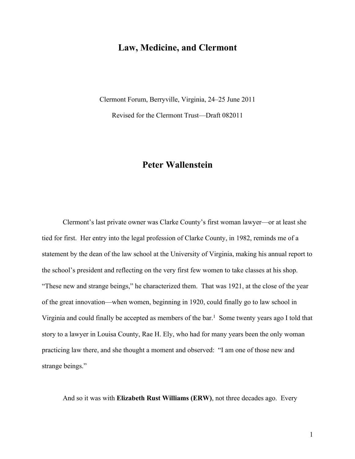# **Law, Medicine, and Clermont**

Clermont Forum, Berryville, Virginia, 24–25 June 2011

Revised for the Clermont Trust—Draft 082011

# **Peter Wallenstein**

Clermont's last private owner was Clarke County's first woman lawyer—or at least she tied for first. Her entry into the legal profession of Clarke County, in 1982, reminds me of a statement by the dean of the law school at the University of Virginia, making his annual report to the school's president and reflecting on the very first few women to take classes at his shop. "These new and strange beings," he characterized them. That was 1921, at the close of the year of the great innovation—when women, beginning in 1920, could finally go to law school in Virginia and could finally be accepted as members of the bar.<sup>1</sup> Some twenty years ago I told that story to a lawyer in Louisa County, Rae H. Ely, who had for many years been the only woman practicing law there, and she thought a moment and observed: "I am one of those new and strange beings."

And so it was with **Elizabeth Rust Williams (ERW)**, not three decades ago. Every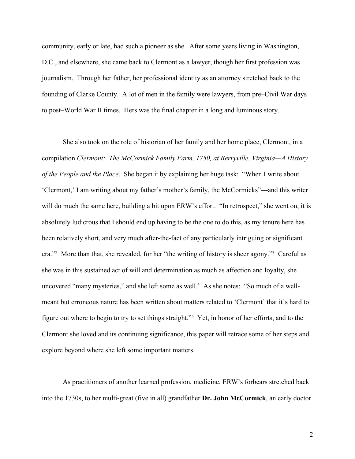community, early or late, had such a pioneer as she. After some years living in Washington, D.C., and elsewhere, she came back to Clermont as a lawyer, though her first profession was journalism. Through her father, her professional identity as an attorney stretched back to the founding of Clarke County. A lot of men in the family were lawyers, from pre–Civil War days to post–World War II times. Hers was the final chapter in a long and luminous story.

She also took on the role of historian of her family and her home place, Clermont, in a compilation *Clermont: The McCormick Family Farm, 1750, at Berryville, Virginia—A History of the People and the Place*. She began it by explaining her huge task: "When I write about 'Clermont,' I am writing about my father's mother's family, the McCormicks"—and this writer will do much the same here, building a bit upon ERW's effort. "In retrospect," she went on, it is absolutely ludicrous that I should end up having to be the one to do this, as my tenure here has been relatively short, and very much after-the-fact of any particularly intriguing or significant era."<sup>2</sup> More than that, she revealed, for her "the writing of history is sheer agony."<sup>3</sup> Careful as she was in this sustained act of will and determination as much as affection and loyalty, she uncovered "many mysteries," and she left some as well. $4$  As she notes: "So much of a wellmeant but erroneous nature has been written about matters related to 'Clermont' that it's hard to figure out where to begin to try to set things straight."<sup>5</sup> Yet, in honor of her efforts, and to the Clermont she loved and its continuing significance, this paper will retrace some of her steps and explore beyond where she left some important matters.

As practitioners of another learned profession, medicine, ERW's forbears stretched back into the 1730s, to her multi-great (five in all) grandfather **Dr. John McCormick**, an early doctor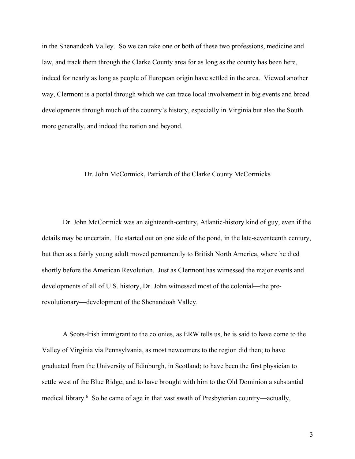in the Shenandoah Valley. So we can take one or both of these two professions, medicine and law, and track them through the Clarke County area for as long as the county has been here, indeed for nearly as long as people of European origin have settled in the area. Viewed another way, Clermont is a portal through which we can trace local involvement in big events and broad developments through much of the country's history, especially in Virginia but also the South more generally, and indeed the nation and beyond.

### Dr. John McCormick, Patriarch of the Clarke County McCormicks

Dr. John McCormick was an eighteenth-century, Atlantic-history kind of guy, even if the details may be uncertain. He started out on one side of the pond, in the late-seventeenth century, but then as a fairly young adult moved permanently to British North America, where he died shortly before the American Revolution. Just as Clermont has witnessed the major events and developments of all of U.S. history, Dr. John witnessed most of the colonial—the prerevolutionary—development of the Shenandoah Valley.

A Scots-Irish immigrant to the colonies, as ERW tells us, he is said to have come to the Valley of Virginia via Pennsylvania, as most newcomers to the region did then; to have graduated from the University of Edinburgh, in Scotland; to have been the first physician to settle west of the Blue Ridge; and to have brought with him to the Old Dominion a substantial medical library.<sup>6</sup> So he came of age in that vast swath of Presbyterian country—actually,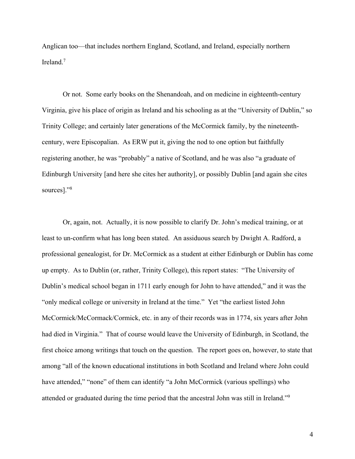Anglican too—that includes northern England, Scotland, and Ireland, especially northern Ireland.7

Or not. Some early books on the Shenandoah, and on medicine in eighteenth-century Virginia, give his place of origin as Ireland and his schooling as at the "University of Dublin," so Trinity College; and certainly later generations of the McCormick family, by the nineteenthcentury, were Episcopalian. As ERW put it, giving the nod to one option but faithfully registering another, he was "probably" a native of Scotland, and he was also "a graduate of Edinburgh University [and here she cites her authority], or possibly Dublin [and again she cites sources]."8

Or, again, not. Actually, it is now possible to clarify Dr. John's medical training, or at least to un-confirm what has long been stated. An assiduous search by Dwight A. Radford, a professional genealogist, for Dr. McCormick as a student at either Edinburgh or Dublin has come up empty. As to Dublin (or, rather, Trinity College), this report states: "The University of Dublin's medical school began in 1711 early enough for John to have attended," and it was the "only medical college or university in Ireland at the time." Yet "the earliest listed John McCormick/McCormack/Cormick, etc. in any of their records was in 1774, six years after John had died in Virginia." That of course would leave the University of Edinburgh, in Scotland, the first choice among writings that touch on the question. The report goes on, however, to state that among "all of the known educational institutions in both Scotland and Ireland where John could have attended," "none" of them can identify "a John McCormick (various spellings) who attended or graduated during the time period that the ancestral John was still in Ireland."9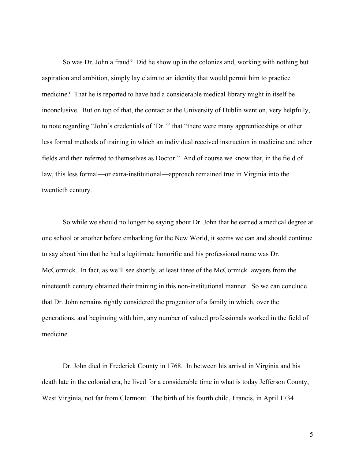So was Dr. John a fraud? Did he show up in the colonies and, working with nothing but aspiration and ambition, simply lay claim to an identity that would permit him to practice medicine? That he is reported to have had a considerable medical library might in itself be inconclusive. But on top of that, the contact at the University of Dublin went on, very helpfully, to note regarding "John's credentials of 'Dr.'" that "there were many apprenticeships or other less formal methods of training in which an individual received instruction in medicine and other fields and then referred to themselves as Doctor." And of course we know that, in the field of law, this less formal—or extra-institutional—approach remained true in Virginia into the twentieth century.

So while we should no longer be saying about Dr. John that he earned a medical degree at one school or another before embarking for the New World, it seems we can and should continue to say about him that he had a legitimate honorific and his professional name was Dr. McCormick. In fact, as we'll see shortly, at least three of the McCormick lawyers from the nineteenth century obtained their training in this non-institutional manner. So we can conclude that Dr. John remains rightly considered the progenitor of a family in which, over the generations, and beginning with him, any number of valued professionals worked in the field of medicine.

Dr. John died in Frederick County in 1768. In between his arrival in Virginia and his death late in the colonial era, he lived for a considerable time in what is today Jefferson County, West Virginia, not far from Clermont. The birth of his fourth child, Francis, in April 1734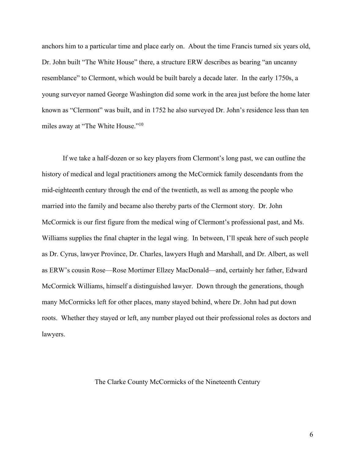anchors him to a particular time and place early on. About the time Francis turned six years old, Dr. John built "The White House" there, a structure ERW describes as bearing "an uncanny resemblance" to Clermont, which would be built barely a decade later. In the early 1750s, a young surveyor named George Washington did some work in the area just before the home later known as "Clermont" was built, and in 1752 he also surveyed Dr. John's residence less than ten miles away at "The White House."10

If we take a half-dozen or so key players from Clermont's long past, we can outline the history of medical and legal practitioners among the McCormick family descendants from the mid-eighteenth century through the end of the twentieth, as well as among the people who married into the family and became also thereby parts of the Clermont story. Dr. John McCormick is our first figure from the medical wing of Clermont's professional past, and Ms. Williams supplies the final chapter in the legal wing. In between, I'll speak here of such people as Dr. Cyrus, lawyer Province, Dr. Charles, lawyers Hugh and Marshall, and Dr. Albert, as well as ERW's cousin Rose—Rose Mortimer Ellzey MacDonald—and, certainly her father, Edward McCormick Williams, himself a distinguished lawyer. Down through the generations, though many McCormicks left for other places, many stayed behind, where Dr. John had put down roots. Whether they stayed or left, any number played out their professional roles as doctors and lawyers.

## The Clarke County McCormicks of the Nineteenth Century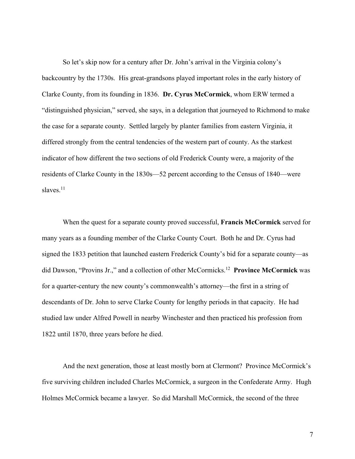So let's skip now for a century after Dr. John's arrival in the Virginia colony's backcountry by the 1730s. His great-grandsons played important roles in the early history of Clarke County, from its founding in 1836. **Dr. Cyrus McCormick**, whom ERW termed a "distinguished physician," served, she says, in a delegation that journeyed to Richmond to make the case for a separate county. Settled largely by planter families from eastern Virginia, it differed strongly from the central tendencies of the western part of county. As the starkest indicator of how different the two sections of old Frederick County were, a majority of the residents of Clarke County in the 1830s—52 percent according to the Census of 1840—were slaves.<sup>11</sup>

When the quest for a separate county proved successful, **Francis McCormick** served for many years as a founding member of the Clarke County Court. Both he and Dr. Cyrus had signed the 1833 petition that launched eastern Frederick County's bid for a separate county—as did Dawson, "Provins Jr.," and a collection of other McCormicks.12 **Province McCormick** was for a quarter-century the new county's commonwealth's attorney—the first in a string of descendants of Dr. John to serve Clarke County for lengthy periods in that capacity. He had studied law under Alfred Powell in nearby Winchester and then practiced his profession from 1822 until 1870, three years before he died.

And the next generation, those at least mostly born at Clermont? Province McCormick's five surviving children included Charles McCormick, a surgeon in the Confederate Army. Hugh Holmes McCormick became a lawyer. So did Marshall McCormick, the second of the three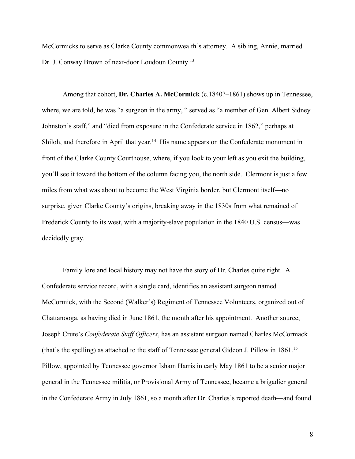McCormicks to serve as Clarke County commonwealth's attorney. A sibling, Annie, married Dr. J. Conway Brown of next-door Loudoun County.13

Among that cohort, **Dr. Charles A. McCormick** (c.1840?–1861) shows up in Tennessee, where, we are told, he was "a surgeon in the army, " served as "a member of Gen. Albert Sidney Johnston's staff," and "died from exposure in the Confederate service in 1862," perhaps at Shiloh, and therefore in April that year.<sup>14</sup> His name appears on the Confederate monument in front of the Clarke County Courthouse, where, if you look to your left as you exit the building, you'll see it toward the bottom of the column facing you, the north side. Clermont is just a few miles from what was about to become the West Virginia border, but Clermont itself—no surprise, given Clarke County's origins, breaking away in the 1830s from what remained of Frederick County to its west, with a majority-slave population in the 1840 U.S. census—was decidedly gray.

Family lore and local history may not have the story of Dr. Charles quite right. A Confederate service record, with a single card, identifies an assistant surgeon named McCormick, with the Second (Walker's) Regiment of Tennessee Volunteers, organized out of Chattanooga, as having died in June 1861, the month after his appointment. Another source, Joseph Crute's *Confederate Staff Officers*, has an assistant surgeon named Charles McCormack (that's the spelling) as attached to the staff of Tennessee general Gideon J. Pillow in 1861.15 Pillow, appointed by Tennessee governor Isham Harris in early May 1861 to be a senior major general in the Tennessee militia, or Provisional Army of Tennessee, became a brigadier general in the Confederate Army in July 1861, so a month after Dr. Charles's reported death—and found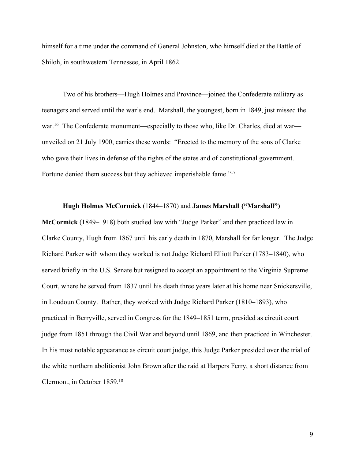himself for a time under the command of General Johnston, who himself died at the Battle of Shiloh, in southwestern Tennessee, in April 1862.

Two of his brothers—Hugh Holmes and Province—joined the Confederate military as teenagers and served until the war's end. Marshall, the youngest, born in 1849, just missed the war.<sup>16</sup> The Confederate monument—especially to those who, like Dr. Charles, died at war unveiled on 21 July 1900, carries these words: "Erected to the memory of the sons of Clarke who gave their lives in defense of the rights of the states and of constitutional government. Fortune denied them success but they achieved imperishable fame."<sup>17</sup>

#### **Hugh Holmes McCormick** (1844–1870) and **James Marshall ("Marshall")**

**McCormick** (1849–1918) both studied law with "Judge Parker" and then practiced law in Clarke County, Hugh from 1867 until his early death in 1870, Marshall for far longer. The Judge Richard Parker with whom they worked is not Judge Richard Elliott Parker (1783–1840), who served briefly in the U.S. Senate but resigned to accept an appointment to the Virginia Supreme Court, where he served from 1837 until his death three years later at his home near Snickersville, in Loudoun County. Rather, they worked with Judge Richard Parker (1810–1893), who practiced in Berryville, served in Congress for the 1849–1851 term, presided as circuit court judge from 1851 through the Civil War and beyond until 1869, and then practiced in Winchester. In his most notable appearance as circuit court judge, this Judge Parker presided over the trial of the white northern abolitionist John Brown after the raid at Harpers Ferry, a short distance from Clermont, in October 1859.18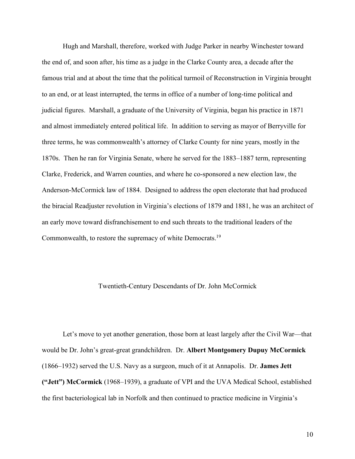Hugh and Marshall, therefore, worked with Judge Parker in nearby Winchester toward the end of, and soon after, his time as a judge in the Clarke County area, a decade after the famous trial and at about the time that the political turmoil of Reconstruction in Virginia brought to an end, or at least interrupted, the terms in office of a number of long-time political and judicial figures. Marshall, a graduate of the University of Virginia, began his practice in 1871 and almost immediately entered political life. In addition to serving as mayor of Berryville for three terms, he was commonwealth's attorney of Clarke County for nine years, mostly in the 1870s. Then he ran for Virginia Senate, where he served for the 1883–1887 term, representing Clarke, Frederick, and Warren counties, and where he co-sponsored a new election law, the Anderson-McCormick law of 1884. Designed to address the open electorate that had produced the biracial Readjuster revolution in Virginia's elections of 1879 and 1881, he was an architect of an early move toward disfranchisement to end such threats to the traditional leaders of the Commonwealth, to restore the supremacy of white Democrats.19

#### Twentieth-Century Descendants of Dr. John McCormick

Let's move to yet another generation, those born at least largely after the Civil War—that would be Dr. John's great-great grandchildren. Dr. **Albert Montgomery Dupuy McCormick** (1866–1932) served the U.S. Navy as a surgeon, much of it at Annapolis. Dr. **James Jett ("Jett") McCormick** (1968–1939), a graduate of VPI and the UVA Medical School, established the first bacteriological lab in Norfolk and then continued to practice medicine in Virginia's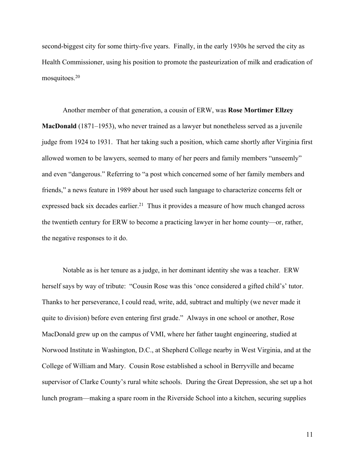second-biggest city for some thirty-five years. Finally, in the early 1930s he served the city as Health Commissioner, using his position to promote the pasteurization of milk and eradication of mosquitoes.20

Another member of that generation, a cousin of ERW, was **Rose Mortimer Ellzey MacDonald** (1871–1953), who never trained as a lawyer but nonetheless served as a juvenile judge from 1924 to 1931. That her taking such a position, which came shortly after Virginia first allowed women to be lawyers, seemed to many of her peers and family members "unseemly" and even "dangerous." Referring to "a post which concerned some of her family members and friends," a news feature in 1989 about her used such language to characterize concerns felt or expressed back six decades earlier.<sup>21</sup> Thus it provides a measure of how much changed across the twentieth century for ERW to become a practicing lawyer in her home county—or, rather, the negative responses to it do.

Notable as is her tenure as a judge, in her dominant identity she was a teacher. ERW herself says by way of tribute: "Cousin Rose was this 'once considered a gifted child's' tutor. Thanks to her perseverance, I could read, write, add, subtract and multiply (we never made it quite to division) before even entering first grade." Always in one school or another, Rose MacDonald grew up on the campus of VMI, where her father taught engineering, studied at Norwood Institute in Washington, D.C., at Shepherd College nearby in West Virginia, and at the College of William and Mary. Cousin Rose established a school in Berryville and became supervisor of Clarke County's rural white schools. During the Great Depression, she set up a hot lunch program—making a spare room in the Riverside School into a kitchen, securing supplies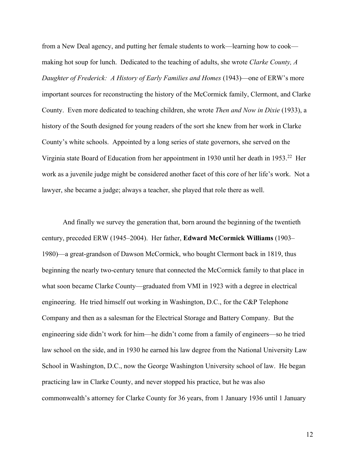from a New Deal agency, and putting her female students to work—learning how to cook making hot soup for lunch. Dedicated to the teaching of adults, she wrote *Clarke County, A Daughter of Frederick: A History of Early Families and Homes* (1943)—one of ERW's more important sources for reconstructing the history of the McCormick family, Clermont, and Clarke County. Even more dedicated to teaching children, she wrote *Then and Now in Dixie* (1933), a history of the South designed for young readers of the sort she knew from her work in Clarke County's white schools. Appointed by a long series of state governors, she served on the Virginia state Board of Education from her appointment in 1930 until her death in 1953.22 Her work as a juvenile judge might be considered another facet of this core of her life's work. Not a lawyer, she became a judge; always a teacher, she played that role there as well.

And finally we survey the generation that, born around the beginning of the twentieth century, preceded ERW (1945–2004). Her father, **Edward McCormick Williams** (1903– 1980)—a great-grandson of Dawson McCormick, who bought Clermont back in 1819, thus beginning the nearly two-century tenure that connected the McCormick family to that place in what soon became Clarke County—graduated from VMI in 1923 with a degree in electrical engineering. He tried himself out working in Washington, D.C., for the C&P Telephone Company and then as a salesman for the Electrical Storage and Battery Company. But the engineering side didn't work for him—he didn't come from a family of engineers—so he tried law school on the side, and in 1930 he earned his law degree from the National University Law School in Washington, D.C., now the George Washington University school of law. He began practicing law in Clarke County, and never stopped his practice, but he was also commonwealth's attorney for Clarke County for 36 years, from 1 January 1936 until 1 January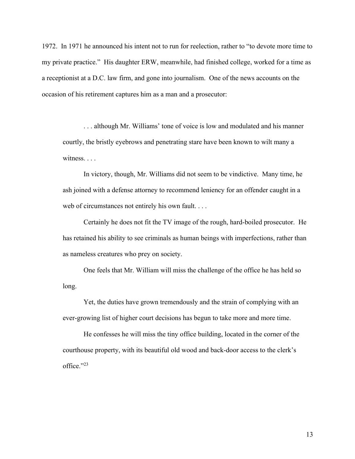1972. In 1971 he announced his intent not to run for reelection, rather to "to devote more time to my private practice." His daughter ERW, meanwhile, had finished college, worked for a time as a receptionist at a D.C. law firm, and gone into journalism. One of the news accounts on the occasion of his retirement captures him as a man and a prosecutor:

. . . although Mr. Williams' tone of voice is low and modulated and his manner courtly, the bristly eyebrows and penetrating stare have been known to wilt many a witness. . . .

In victory, though, Mr. Williams did not seem to be vindictive. Many time, he ash joined with a defense attorney to recommend leniency for an offender caught in a web of circumstances not entirely his own fault. . . .

Certainly he does not fit the TV image of the rough, hard-boiled prosecutor. He has retained his ability to see criminals as human beings with imperfections, rather than as nameless creatures who prey on society.

One feels that Mr. William will miss the challenge of the office he has held so long.

Yet, the duties have grown tremendously and the strain of complying with an ever-growing list of higher court decisions has begun to take more and more time.

He confesses he will miss the tiny office building, located in the corner of the courthouse property, with its beautiful old wood and back-door access to the clerk's office."23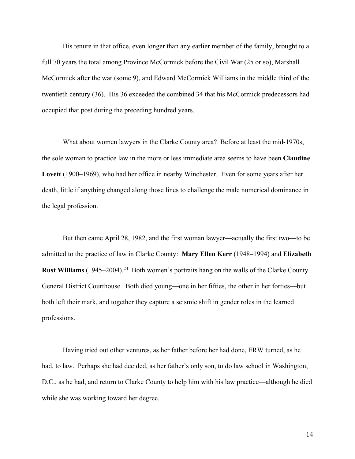His tenure in that office, even longer than any earlier member of the family, brought to a full 70 years the total among Province McCormick before the Civil War (25 or so), Marshall McCormick after the war (some 9), and Edward McCormick Williams in the middle third of the twentieth century (36). His 36 exceeded the combined 34 that his McCormick predecessors had occupied that post during the preceding hundred years.

What about women lawyers in the Clarke County area? Before at least the mid-1970s, the sole woman to practice law in the more or less immediate area seems to have been **Claudine Lovett** (1900–1969), who had her office in nearby Winchester. Even for some years after her death, little if anything changed along those lines to challenge the male numerical dominance in the legal profession.

But then came April 28, 1982, and the first woman lawyer—actually the first two—to be admitted to the practice of law in Clarke County: **Mary Ellen Kerr** (1948–1994) and **Elizabeth Rust Williams** (1945–2004).<sup>24</sup> Both women's portraits hang on the walls of the Clarke County General District Courthouse. Both died young—one in her fifties, the other in her forties—but both left their mark, and together they capture a seismic shift in gender roles in the learned professions.

Having tried out other ventures, as her father before her had done, ERW turned, as he had, to law. Perhaps she had decided, as her father's only son, to do law school in Washington, D.C., as he had, and return to Clarke County to help him with his law practice—although he died while she was working toward her degree.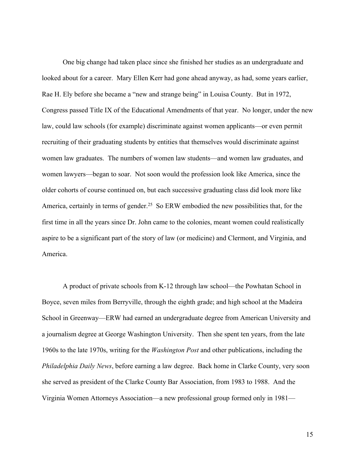One big change had taken place since she finished her studies as an undergraduate and looked about for a career. Mary Ellen Kerr had gone ahead anyway, as had, some years earlier, Rae H. Ely before she became a "new and strange being" in Louisa County. But in 1972, Congress passed Title IX of the Educational Amendments of that year. No longer, under the new law, could law schools (for example) discriminate against women applicants—or even permit recruiting of their graduating students by entities that themselves would discriminate against women law graduates. The numbers of women law students—and women law graduates, and women lawyers—began to soar. Not soon would the profession look like America, since the older cohorts of course continued on, but each successive graduating class did look more like America, certainly in terms of gender.<sup>25</sup> So ERW embodied the new possibilities that, for the first time in all the years since Dr. John came to the colonies, meant women could realistically aspire to be a significant part of the story of law (or medicine) and Clermont, and Virginia, and America.

A product of private schools from K-12 through law school—the Powhatan School in Boyce, seven miles from Berryville, through the eighth grade; and high school at the Madeira School in Greenway—ERW had earned an undergraduate degree from American University and a journalism degree at George Washington University. Then she spent ten years, from the late 1960s to the late 1970s, writing for the *Washington Post* and other publications, including the *Philadelphia Daily News*, before earning a law degree. Back home in Clarke County, very soon she served as president of the Clarke County Bar Association, from 1983 to 1988. And the Virginia Women Attorneys Association—a new professional group formed only in 1981—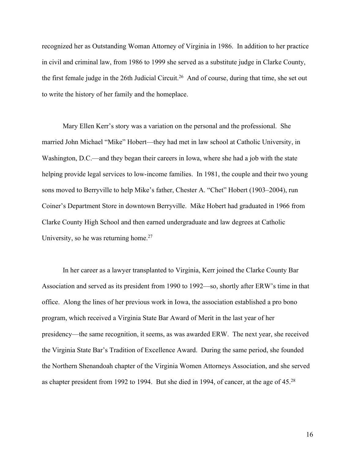recognized her as Outstanding Woman Attorney of Virginia in 1986. In addition to her practice in civil and criminal law, from 1986 to 1999 she served as a substitute judge in Clarke County, the first female judge in the 26th Judicial Circuit.<sup>26</sup> And of course, during that time, she set out to write the history of her family and the homeplace.

Mary Ellen Kerr's story was a variation on the personal and the professional. She married John Michael "Mike" Hobert—they had met in law school at Catholic University, in Washington, D.C.—and they began their careers in Iowa, where she had a job with the state helping provide legal services to low-income families. In 1981, the couple and their two young sons moved to Berryville to help Mike's father, Chester A. "Chet" Hobert (1903–2004), run Coiner's Department Store in downtown Berryville. Mike Hobert had graduated in 1966 from Clarke County High School and then earned undergraduate and law degrees at Catholic University, so he was returning home.<sup>27</sup>

In her career as a lawyer transplanted to Virginia, Kerr joined the Clarke County Bar Association and served as its president from 1990 to 1992—so, shortly after ERW's time in that office. Along the lines of her previous work in Iowa, the association established a pro bono program, which received a Virginia State Bar Award of Merit in the last year of her presidency—the same recognition, it seems, as was awarded ERW. The next year, she received the Virginia State Bar's Tradition of Excellence Award. During the same period, she founded the Northern Shenandoah chapter of the Virginia Women Attorneys Association, and she served as chapter president from 1992 to 1994. But she died in 1994, of cancer, at the age of 45.28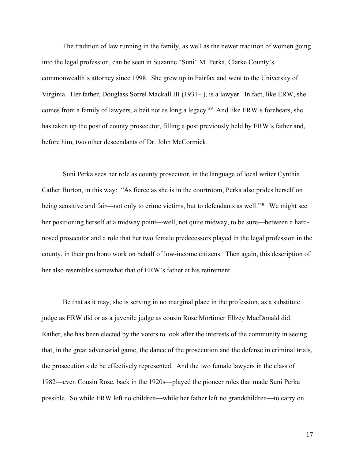The tradition of law running in the family, as well as the newer tradition of women going into the legal profession, can be seen in Suzanne "Suni" M. Perka, Clarke County's commonwealth's attorney since 1998. She grew up in Fairfax and went to the University of Virginia. Her father, Douglass Sorrel Mackall III (1931– ), is a lawyer. In fact, like ERW, she comes from a family of lawyers, albeit not as long a legacy.29 And like ERW's forebears, she has taken up the post of county prosecutor, filling a post previously held by ERW's father and, before him, two other descendants of Dr. John McCormick.

Suni Perka sees her role as county prosecutor, in the language of local writer Cynthia Cather Burton, in this way: "As fierce as she is in the courtroom, Perka also prides herself on being sensitive and fair—not only to crime victims, but to defendants as well."<sup>30</sup> We might see her positioning herself at a midway point—well, not quite midway, to be sure—between a hardnosed prosecutor and a role that her two female predecessors played in the legal profession in the county, in their pro bono work on behalf of low-income citizens. Then again, this description of her also resembles somewhat that of ERW's father at his retirement.

Be that as it may, she is serving in no marginal place in the profession, as a substitute judge as ERW did or as a juvenile judge as cousin Rose Mortimer Ellzey MacDonald did. Rather, she has been elected by the voters to look after the interests of the community in seeing that, in the great adversarial game, the dance of the prosecution and the defense in criminal trials, the prosecution side be effectively represented. And the two female lawyers in the class of 1982—even Cousin Rose, back in the 1920s—played the pioneer roles that made Suni Perka possible. So while ERW left no children—while her father left no grandchildren—to carry on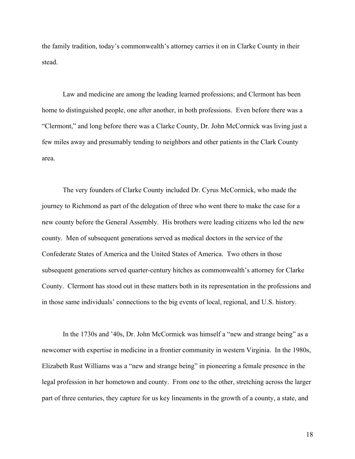the family tradition, today's commonwealth's attorney carries it on in Clarke County in their stead.

Law and medicine are among the leading learned professions; and Clermont has been home to distinguished people, one after another, in both professions. Even before there was a "Clermont," and long before there was a Clarke County, Dr. John McCormick was living just a few miles away and presumably tending to neighbors and other patients in the Clark County area.

The very founders of Clarke County included Dr. Cyrus McCormick, who made the journey to Richmond as part of the delegation of three who went there to make the case for a new county before the General Assembly. His brothers were leading citizens who led the new county. Men of subsequent generations served as medical doctors in the service of the Confederate States of America and the United States of America. Two others in those subsequent generations served quarter-century hitches as commonwealth's attorney for Clarke County. Clermont has stood out in these matters both in its representation in the professions and in those same individuals' connections to the big events of local, regional, and U.S. history.

In the 1730s and '40s, Dr. John McCormick was himself a "new and strange being" as a newcomer with expertise in medicine in a frontier community in western Virginia. In the 1980s, Elizabeth Rust Williams was a "new and strange being" in pioneering a female presence in the legal profession in her hometown and county. From one to the other, stretching across the larger part of three centuries, they capture for us key lineaments in the growth of a county, a state, and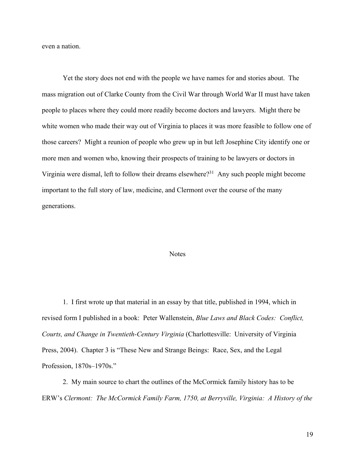even a nation.

Yet the story does not end with the people we have names for and stories about. The mass migration out of Clarke County from the Civil War through World War II must have taken people to places where they could more readily become doctors and lawyers. Might there be white women who made their way out of Virginia to places it was more feasible to follow one of those careers? Might a reunion of people who grew up in but left Josephine City identify one or more men and women who, knowing their prospects of training to be lawyers or doctors in Virginia were dismal, left to follow their dreams elsewhere?31 Any such people might become important to the full story of law, medicine, and Clermont over the course of the many generations.

#### **Notes**

1. I first wrote up that material in an essay by that title, published in 1994, which in revised form I published in a book: Peter Wallenstein, *Blue Laws and Black Codes: Conflict, Courts, and Change in Twentieth-Century Virginia* (Charlottesville: University of Virginia Press, 2004). Chapter 3 is "These New and Strange Beings: Race, Sex, and the Legal Profession, 1870s–1970s."

2. My main source to chart the outlines of the McCormick family history has to be ERW's *Clermont: The McCormick Family Farm, 1750, at Berryville, Virginia: A History of the*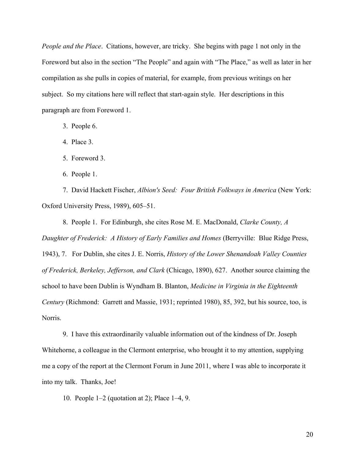*People and the Place*. Citations, however, are tricky. She begins with page 1 not only in the Foreword but also in the section "The People" and again with "The Place," as well as later in her compilation as she pulls in copies of material, for example, from previous writings on her subject. So my citations here will reflect that start-again style. Her descriptions in this paragraph are from Foreword 1.

3. People 6.

4. Place 3.

5. Foreword 3.

6. People 1.

7. David Hackett Fischer, *Albion's Seed: Four British Folkways in America* (New York: Oxford University Press, 1989), 605–51.

8. People 1. For Edinburgh, she cites Rose M. E. MacDonald, *Clarke County, A Daughter of Frederick: A History of Early Families and Homes* (Berryville: Blue Ridge Press, 1943), 7. For Dublin, she cites J. E. Norris, *History of the Lower Shenandoah Valley Counties of Frederick, Berkeley, Jefferson, and Clark* (Chicago, 1890), 627. Another source claiming the school to have been Dublin is Wyndham B. Blanton, *Medicine in Virginia in the Eighteenth Century* (Richmond: Garrett and Massie, 1931; reprinted 1980), 85, 392, but his source, too, is Norris.

9. I have this extraordinarily valuable information out of the kindness of Dr. Joseph Whitehorne, a colleague in the Clermont enterprise, who brought it to my attention, supplying me a copy of the report at the Clermont Forum in June 2011, where I was able to incorporate it into my talk. Thanks, Joe!

10. People 1–2 (quotation at 2); Place 1–4, 9.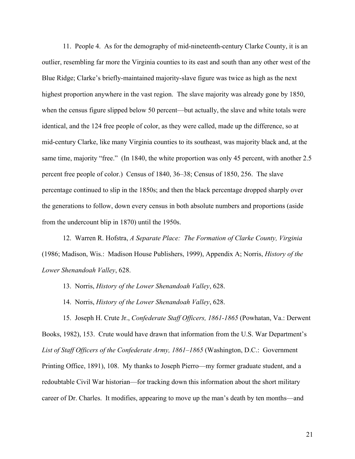11. People 4. As for the demography of mid-nineteenth-century Clarke County, it is an outlier, resembling far more the Virginia counties to its east and south than any other west of the Blue Ridge; Clarke's briefly-maintained majority-slave figure was twice as high as the next highest proportion anywhere in the vast region. The slave majority was already gone by 1850, when the census figure slipped below 50 percent—but actually, the slave and white totals were identical, and the 124 free people of color, as they were called, made up the difference, so at mid-century Clarke, like many Virginia counties to its southeast, was majority black and, at the same time, majority "free." (In 1840, the white proportion was only 45 percent, with another 2.5 percent free people of color.) Census of 1840, 36–38; Census of 1850, 256. The slave percentage continued to slip in the 1850s; and then the black percentage dropped sharply over the generations to follow, down every census in both absolute numbers and proportions (aside from the undercount blip in 1870) until the 1950s.

12. Warren R. Hofstra, *A Separate Place: The Formation of Clarke County, Virginia* (1986; Madison, Wis.: Madison House Publishers, 1999), Appendix A; Norris, *History of the Lower Shenandoah Valley*, 628.

13. Norris, *History of the Lower Shenandoah Valley*, 628.

14. Norris, *History of the Lower Shenandoah Valley*, 628.

15. Joseph H. Crute Jr., *Confederate Staff Officers, 1861-1865* (Powhatan, Va.: Derwent Books, 1982), 153. Crute would have drawn that information from the U.S. War Department's *List of Staff Officers of the Confederate Army, 1861–1865* (Washington, D.C.: Government Printing Office, 1891), 108. My thanks to Joseph Pierro—my former graduate student, and a redoubtable Civil War historian—for tracking down this information about the short military career of Dr. Charles. It modifies, appearing to move up the man's death by ten months—and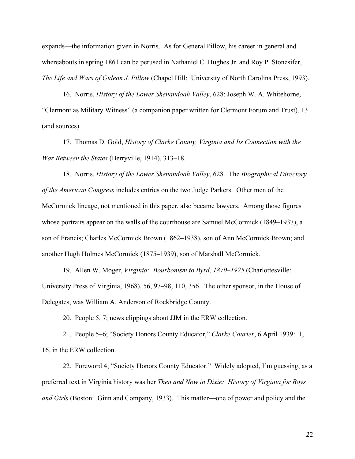expands—the information given in Norris. As for General Pillow, his career in general and whereabouts in spring 1861 can be perused in Nathaniel C. Hughes Jr. and Roy P. Stonesifer, *The Life and Wars of Gideon J. Pillow* (Chapel Hill: University of North Carolina Press, 1993).

16. Norris, *History of the Lower Shenandoah Valley*, 628; Joseph W. A. Whitehorne, "Clermont as Military Witness" (a companion paper written for Clermont Forum and Trust), 13 (and sources).

17. Thomas D. Gold, *History of Clarke County, Virginia and Its Connection with the War Between the States* (Berryville, 1914), 313–18.

18. Norris, *History of the Lower Shenandoah Valley*, 628. The *Biographical Directory of the American Congress* includes entries on the two Judge Parkers. Other men of the McCormick lineage, not mentioned in this paper, also became lawyers. Among those figures whose portraits appear on the walls of the courthouse are Samuel McCormick (1849–1937), a son of Francis; Charles McCormick Brown (1862–1938), son of Ann McCormick Brown; and another Hugh Holmes McCormick (1875–1939), son of Marshall McCormick.

19. Allen W. Moger, *Virginia: Bourbonism to Byrd, 1870–1925* (Charlottesville: University Press of Virginia, 1968), 56, 97–98, 110, 356. The other sponsor, in the House of Delegates, was William A. Anderson of Rockbridge County.

20. People 5, 7; news clippings about JJM in the ERW collection.

21. People 5–6; "Society Honors County Educator," *Clarke Courier*, 6 April 1939: 1, 16, in the ERW collection.

22. Foreword 4; "Society Honors County Educator." Widely adopted, I'm guessing, as a preferred text in Virginia history was her *Then and Now in Dixie: History of Virginia for Boys and Girls* (Boston: Ginn and Company, 1933). This matter—one of power and policy and the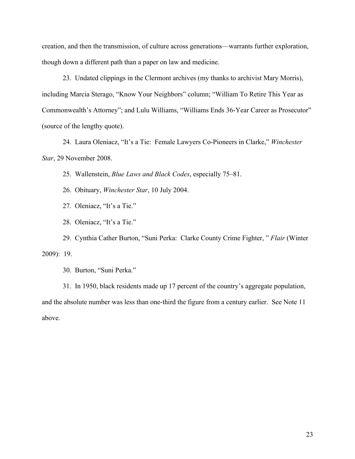creation, and then the transmission, of culture across generations—warrants further exploration, though down a different path than a paper on law and medicine.

23. Undated clippings in the Clermont archives (my thanks to archivist Mary Morris), including Marcia Sterago, "Know Your Neighbors" column; "William To Retire This Year as Commonwealth's Attorney"; and Lulu Williams, "Williams Ends 36-Year Career as Prosecutor" (source of the lengthy quote).

24. Laura Oleniacz, "It's a Tie: Female Lawyers Co-Pioneers in Clarke," *Winchester Star*, 29 November 2008.

25. Wallenstein, *Blue Laws and Black Codes*, especially 75–81.

26. Obituary, *Winchester Star*, 10 July 2004.

27. Oleniacz, "It's a Tie."

28. Oleniacz, "It's a Tie."

29. Cynthia Cather Burton, "Suni Perka: Clarke County Crime Fighter, " *Flair* (Winter 2009): 19.

30. Burton, "Suni Perka."

31. In 1950, black residents made up 17 percent of the country's aggregate population, and the absolute number was less than one-third the figure from a century earlier. See Note 11 above.